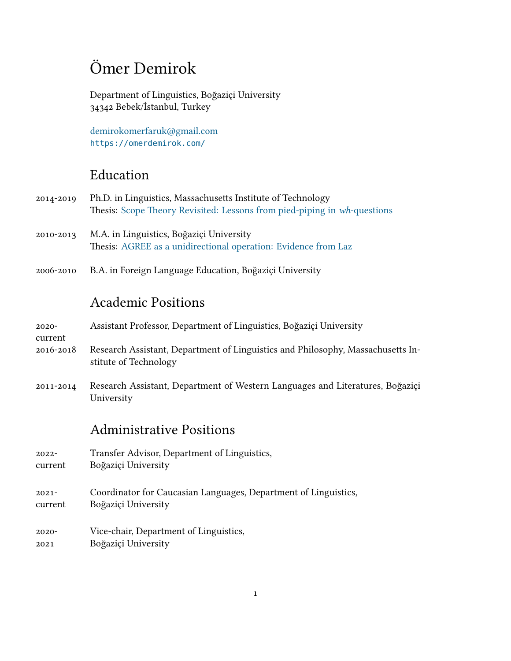# Ömer Demirok

Department of Linguistics, Boğaziçi University 34342 Bebek/İstanbul, Turkey

[demirokomerfaruk@gmail.com](mailto:demirokomerfaruk@gmail.com) <https://omerdemirok.com/>

### Education

| 2014-2019 Ph.D. in Linguistics, Massachusetts Institute of Technology    |
|--------------------------------------------------------------------------|
| Thesis: Scope Theory Revisited: Lessons from pied-piping in wh-questions |

- 2010-2013 M.A. in Linguistics, Boğaziçi University Thesis: [AGREE as a unidirectional operation: Evidence from Laz](https://odemirok.files.wordpress.com/2020/01/demirok-ma-thesis.pdf)
- 2006-2010 B.A. in Foreign Language Education, Boğaziçi University

### Academic Positions

2020- Assistant Professor, Department of Linguistics, Boğaziçi University

- 2016-2018 Research Assistant, Department of Linguistics and Philosophy, Massachusetts Institute of Technology
- 2011-2014 Research Assistant, Department of Western Languages and Literatures, Boğaziçi University

### Administrative Positions

- 2022- Transfer Advisor, Department of Linguistics,
- current Boğaziçi University

current

- 2021 current Coordinator for Caucasian Languages, Department of Linguistics, Boğaziçi University
- 2020- 2021 Vice-chair, Department of Linguistics, Boğaziçi University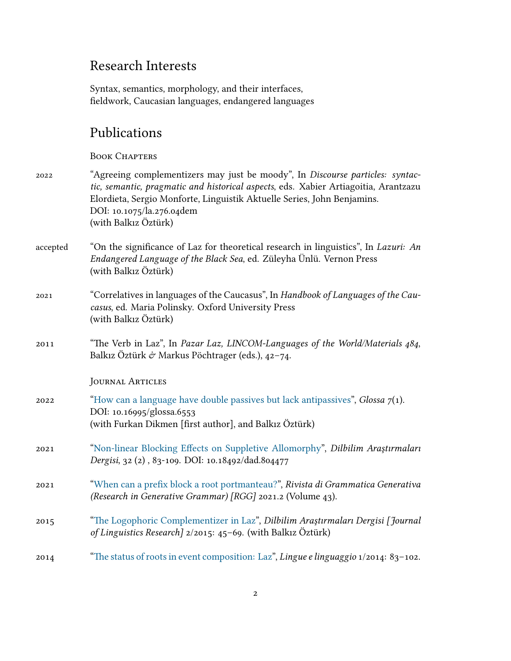### Research Interests

Syntax, semantics, morphology, and their interfaces, fieldwork, Caucasian languages, endangered languages

### Publications

#### BOOK CHAPTERS

- 2022 "Agreeing complementizers may just be moody", In *Discourse particles: syntactic, semantic, pragmatic and historical aspects*, eds. Xabier Artiagoitia, Arantzazu Elordieta, Sergio Monforte, Linguistik Aktuelle Series, John Benjamins. DOI: 10.1075/la.276.04dem (with Balkız Öztürk)
- accepted "On the significance of Laz for theoretical research in linguistics", In *Lazuri: An Endangered Language of the Black Sea*, ed. Züleyha Ünlü. Vernon Press (with Balkız Öztürk)
- 2021 "Correlatives in languages of the Caucasus", In *Handbook of Languages of the Caucasus*, ed. Maria Polinsky. Oxford University Press (with Balkız Öztürk)
- 2011 "The Verb in Laz", In *Pazar Laz, LINCOM-Languages of the World/Materials 484*, Balkız Öztürk & Markus Pöchtrager (eds.),  $42-74$ .

Journal Articles

- 2022 ["How can a language have double passives but lack antipassives"](https://www.glossa-journal.org/article/id/6553/), *Glossa 7*(1). DOI: 10.16995/glossa.6553 (with Furkan Dikmen [first author], and Balkız Öztürk)
- 2021 ["Non-linear Blocking Effects on Suppletive Allomorphy](https://doi.org/10.18492/dad.804477)", *Dilbilim Araştırmaları Dergisi*, 32 (2) , 83-109. DOI: 10.18492/dad.804477
- 2021 ["When can a prefix block a root portmanteau?"](https://lingbuzz.com/j/rgg/2021/2021.02/), *Rivista di Grammatica Generativa (Research in Generative Grammar) [RGG]* 2021.2 (Volume 43).
- 2015 ["The Logophoric Complementizer in Laz](http://dad.boun.edu.tr/download/article-file/305760)", *Dilbilim Araştırmaları Dergisi [Journal of Linguistics Research]* 2/2015: 45–69. (with Balkız Öztürk)
- 2014 ["The status of roots in event composition: Laz](https://odemirok.files.wordpress.com/2020/01/demirok-lingue-e-linguaggio.pdf)", *Lingue e linguaggio* 1/2014: 83–102.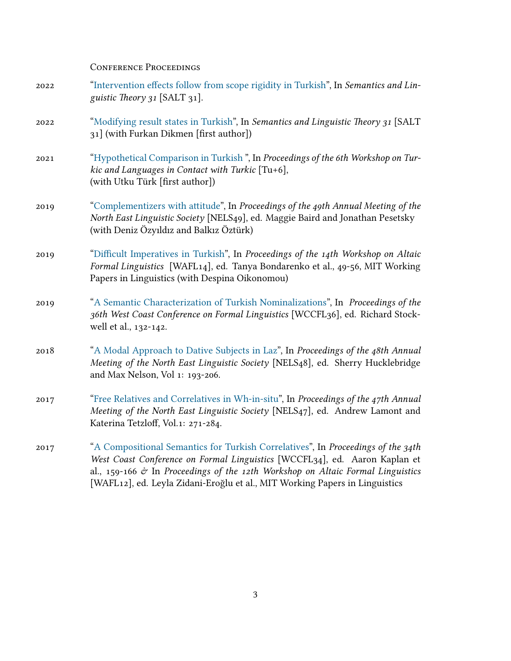Conference Proceedings

- 2022 ["Intervention effects follow from scope rigidity in Turkish"](https://doi.org/10.3765/salt.v31i0.5079), In *Semantics and Linguistic Theory 31* [SALT 31].
- 2022 ["Modifying result states in Turkish"](https://doi.org/10.3765/salt.v31i0.5076), In *Semantics and Linguistic Theory 31* [SALT 31] (with Furkan Dikmen [first author])
- 2021 ["Hypothetical Comparison in Turkish](https://doi.org/10.3765/ptu.v6i1.5054) ", In *Proceedings of the 6th Workshop on Turkic and Languages in Contact with Turkic* [Tu+6], (with Utku Türk [first author])
- 2019 ["Complementizers with attitude](https://odemirok.files.wordpress.com/2020/01/demirok-ozyildiz-ozturk-nels49.pdf)", In *Proceedings of the 49th Annual Meeting of the North East Linguistic Society* [NELS49], ed. Maggie Baird and Jonathan Pesetsky (with Deniz Özyıldız and Balkız Öztürk)
- 2019 ["Difficult Imperatives in Turkish](https://odemirok.files.wordpress.com/2020/01/difficult_imperatives_wafl14.pdf)", In *Proceedings of the 14th Workshop on Altaic Formal Linguistics* [WAFL14], ed. Tanya Bondarenko et al., 49-56, MIT Working Papers in Linguistics (with Despina Oikonomou)
- 2019 ["A Semantic Characterization of Turkish Nominalizations"](http://www.lingref.com/cpp/wccfl/36/paper3455.pdf), In *Proceedings of the 36th West Coast Conference on Formal Linguistics* [WCCFL36], ed. Richard Stockwell et al., 132-142.
- 2018 ["A Modal Approach to Dative Subjects in Laz](https://odemirok.files.wordpress.com/2020/01/nels48_demirok.pdf)", In *Proceedings of the 48th Annual Meeting of the North East Linguistic Society* [NELS48], ed. Sherry Hucklebridge and Max Nelson, Vol 1: 193-206.
- 2017 ["Free Relatives and Correlatives in Wh-in-situ"](https://odemirok.files.wordpress.com/2020/01/nels47.pdf), In *Proceedings of the 47th Annual Meeting of the North East Linguistic Society* [NELS47], ed. Andrew Lamont and Katerina Tetzloff, Vol.1: 271-284.
- 2017 ["A Compositional Semantics for Turkish Correlatives](http://www.lingref.com/cpp/wccfl/34/paper3308.pdf)", In *Proceedings of the 34th West Coast Conference on Formal Linguistics* [WCCFL34], ed. Aaron Kaplan et al., 159-166 & In *Proceedings of the 12th Workshop on Altaic Formal Linguistics* [WAFL12], ed. Leyla Zidani-Eroğlu et al., MIT Working Papers in Linguistics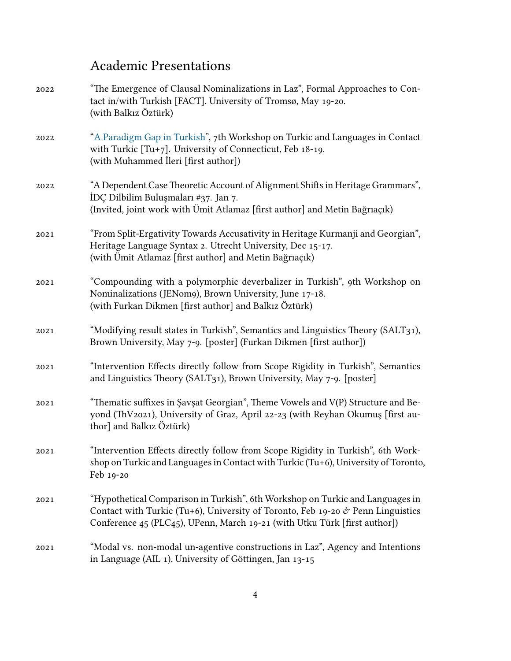## Academic Presentations

| 2022 | "The Emergence of Clausal Nominalizations in Laz", Formal Approaches to Con-<br>tact in/with Turkish [FACT]. University of Tromsø, May 19-20.<br>(with Balkız Öztürk)                                                                                      |
|------|------------------------------------------------------------------------------------------------------------------------------------------------------------------------------------------------------------------------------------------------------------|
| 2022 | "A Paradigm Gap in Turkish", 7th Workshop on Turkic and Languages in Contact<br>with Turkic $[Tu+7]$ . University of Connecticut, Feb 18-19.<br>(with Muhammed İleri [first author])                                                                       |
| 2022 | "A Dependent Case Theoretic Account of Alignment Shifts in Heritage Grammars",<br>İDÇ Dilbilim Buluşmaları #37. Jan 7.<br>(Invited, joint work with Ümit Atlamaz [first author] and Metin Bağrıaçık)                                                       |
| 2021 | "From Split-Ergativity Towards Accusativity in Heritage Kurmanji and Georgian",<br>Heritage Language Syntax 2. Utrecht University, Dec 15-17.<br>(with Ümit Atlamaz [first author] and Metin Bağrıaçık)                                                    |
| 2021 | "Compounding with a polymorphic deverbalizer in Turkish", 9th Workshop on<br>Nominalizations (JENom9), Brown University, June 17-18.<br>(with Furkan Dikmen [first author] and Balkız Öztürk)                                                              |
| 2021 | "Modifying result states in Turkish", Semantics and Linguistics Theory (SALT31),<br>Brown University, May 7-9. [poster] (Furkan Dikmen [first author])                                                                                                     |
| 2021 | "Intervention Effects directly follow from Scope Rigidity in Turkish", Semantics<br>and Linguistics Theory (SALT31), Brown University, May 7-9. [poster]                                                                                                   |
| 2021 | "Thematic suffixes in Şavşat Georgian", Theme Vowels and V(P) Structure and Be-<br>yond (ThV2021), University of Graz, April 22-23 (with Reyhan Okumuş [first au-<br>thor] and Balkız Öztürk)                                                              |
| 2021 | "Intervention Effects directly follow from Scope Rigidity in Turkish", 6th Work-<br>shop on Turkic and Languages in Contact with Turkic (Tu+6), University of Toronto,<br>Feb 19-20                                                                        |
| 2021 | "Hypothetical Comparison in Turkish", 6th Workshop on Turkic and Languages in<br>Contact with Turkic (Tu+6), University of Toronto, Feb 19-20 $\dot{\sigma}$ Penn Linguistics<br>Conference 45 (PLC45), UPenn, March 19-21 (with Utku Türk [first author]) |
| 2021 | "Modal vs. non-modal un-agentive constructions in Laz", Agency and Intentions<br>in Language (AIL 1), University of Göttingen, Jan 13-15                                                                                                                   |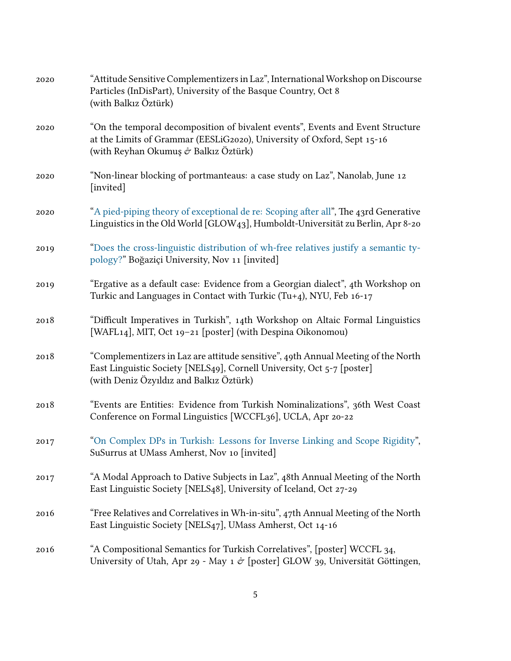| 2020 | "Attitude Sensitive Complementizers in Laz", International Workshop on Discourse<br>Particles (InDisPart), University of the Basque Country, Oct 8<br>(with Balkız Öztürk)                             |
|------|--------------------------------------------------------------------------------------------------------------------------------------------------------------------------------------------------------|
| 2020 | "On the temporal decomposition of bivalent events", Events and Event Structure<br>at the Limits of Grammar (EESLiG2020), University of Oxford, Sept 15-16<br>(with Reyhan Okumuş & Balkız Öztürk)      |
| 2020 | "Non-linear blocking of portmanteaus: a case study on Laz", Nanolab, June 12<br>[invited]                                                                                                              |
| 2020 | "A pied-piping theory of exceptional de re: Scoping after all", The 43rd Generative<br>Linguistics in the Old World [GLOW43], Humboldt-Universität zu Berlin, Apr 8-20                                 |
| 2019 | "Does the cross-linguistic distribution of wh-free relatives justify a semantic ty-<br>pology?" Boğaziçi University, Nov 11 [invited]                                                                  |
| 2019 | "Ergative as a default case: Evidence from a Georgian dialect", 4th Workshop on<br>Turkic and Languages in Contact with Turkic (Tu+4), NYU, Feb 16-17                                                  |
| 2018 | "Difficult Imperatives in Turkish", 14th Workshop on Altaic Formal Linguistics<br>[WAFL14], MIT, Oct 19-21 [poster] (with Despina Oikonomou)                                                           |
| 2018 | "Complementizers in Laz are attitude sensitive", 49th Annual Meeting of the North<br>East Linguistic Society [NELS49], Cornell University, Oct 5-7 [poster]<br>(with Deniz Özyıldız and Balkız Öztürk) |
| 2018 | "Events are Entities: Evidence from Turkish Nominalizations", 36th West Coast<br>Conference on Formal Linguistics [WCCFL36], UCLA, Apr 20-22                                                           |
| 2017 | "On Complex DPs in Turkish: Lessons for Inverse Linking and Scope Rigidity",<br>SuSurrus at UMass Amherst, Nov 10 [invited]                                                                            |
| 2017 | "A Modal Approach to Dative Subjects in Laz", 48th Annual Meeting of the North<br>East Linguistic Society [NELS48], University of Iceland, Oct 27-29                                                   |
| 2016 | "Free Relatives and Correlatives in Wh-in-situ", 47th Annual Meeting of the North<br>East Linguistic Society [NELS47], UMass Amherst, Oct 14-16                                                        |
| 2016 | "A Compositional Semantics for Turkish Correlatives", [poster] WCCFL 34,<br>University of Utah, Apr 29 - May 1 & [poster] GLOW 39, Universität Göttingen,                                              |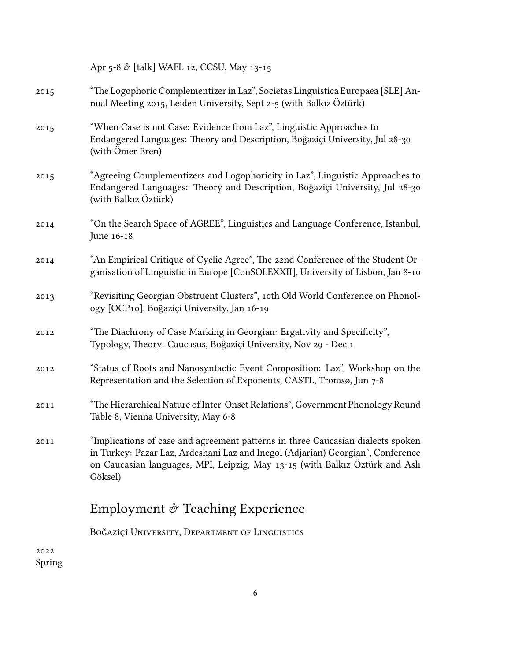Apr 5-8 $\acute{\sigma}$  [talk] WAFL 12, CCSU, May 13-15

| 2015 | "The Logophoric Complementizer in Laz", Societas Linguistica Europaea [SLE] An-<br>nual Meeting 2015, Leiden University, Sept 2-5 (with Balkiz Öztürk)                                                                                                        |
|------|---------------------------------------------------------------------------------------------------------------------------------------------------------------------------------------------------------------------------------------------------------------|
| 2015 | "When Case is not Case: Evidence from Laz", Linguistic Approaches to<br>Endangered Languages: Theory and Description, Boğaziçi University, Jul 28-30<br>(with Ömer Eren)                                                                                      |
| 2015 | "Agreeing Complementizers and Logophoricity in Laz", Linguistic Approaches to<br>Endangered Languages: Theory and Description, Boğaziçi University, Jul 28-30<br>(with Balkız Öztürk)                                                                         |
| 2014 | "On the Search Space of AGREE", Linguistics and Language Conference, Istanbul,<br>June 16-18                                                                                                                                                                  |
| 2014 | "An Empirical Critique of Cyclic Agree", The 22nd Conference of the Student Or-<br>ganisation of Linguistic in Europe [ConSOLEXXII], University of Lisbon, Jan 8-10                                                                                           |
| 2013 | "Revisiting Georgian Obstruent Clusters", 10th Old World Conference on Phonol-<br>ogy [OCP10], Boğaziçi University, Jan 16-19                                                                                                                                 |
| 2012 | "The Diachrony of Case Marking in Georgian: Ergativity and Specificity",<br>Typology, Theory: Caucasus, Boğaziçi University, Nov 29 - Dec 1                                                                                                                   |
| 2012 | "Status of Roots and Nanosyntactic Event Composition: Laz", Workshop on the<br>Representation and the Selection of Exponents, CASTL, Tromsø, Jun 7-8                                                                                                          |
| 2011 | "The Hierarchical Nature of Inter-Onset Relations", Government Phonology Round<br>Table 8, Vienna University, May 6-8                                                                                                                                         |
| 2011 | "Implications of case and agreement patterns in three Caucasian dialects spoken<br>in Turkey: Pazar Laz, Ardeshani Laz and Inegol (Adjarian) Georgian", Conference<br>on Caucasian languages, MPI, Leipzig, May 13-15 (with Balkiz Öztürk and Asli<br>Göksel) |
|      | Employment $\mathcal O$ Teaching Experience                                                                                                                                                                                                                   |

Boğaziçi̇ ̇University, Department of Linguistics

2022 Spring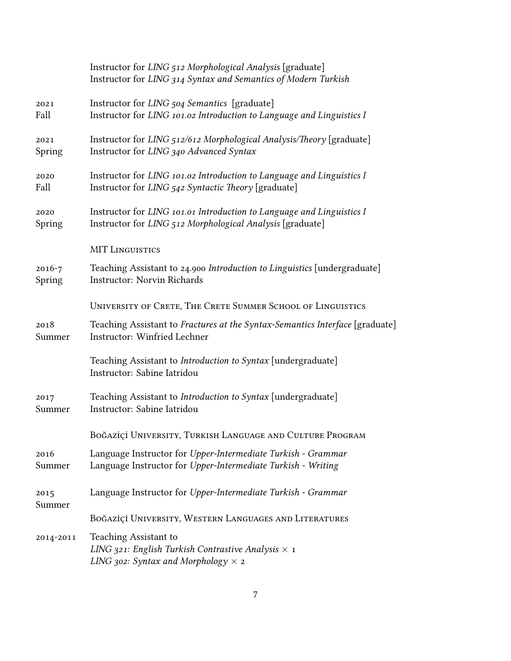|                | Instructor for LING 512 Morphological Analysis [graduate]<br>Instructor for LING 314 Syntax and Semantics of Modern Turkish      |
|----------------|----------------------------------------------------------------------------------------------------------------------------------|
| 2021           | Instructor for LING 504 Semantics [graduate]                                                                                     |
| Fall           | Instructor for LING 101.02 Introduction to Language and Linguistics I                                                            |
| 2021           | Instructor for LING 512/612 Morphological Analysis/Theory [graduate]                                                             |
| Spring         | Instructor for LING 340 Advanced Syntax                                                                                          |
| 2020           | Instructor for LING 101.02 Introduction to Language and Linguistics I                                                            |
| Fall           | Instructor for LING 542 Syntactic Theory [graduate]                                                                              |
| 2020           | Instructor for LING 101.01 Introduction to Language and Linguistics I                                                            |
| Spring         | Instructor for LING 512 Morphological Analysis [graduate]                                                                        |
|                | <b>MIT LINGUISTICS</b>                                                                                                           |
| $2016 - 7$     | Teaching Assistant to 24.900 Introduction to Linguistics [undergraduate]                                                         |
| Spring         | Instructor: Norvin Richards                                                                                                      |
|                | UNIVERSITY OF CRETE, THE CRETE SUMMER SCHOOL OF LINGUISTICS                                                                      |
| 2018           | Teaching Assistant to Fractures at the Syntax-Semantics Interface [graduate]                                                     |
| Summer         | Instructor: Winfried Lechner                                                                                                     |
|                | Teaching Assistant to Introduction to Syntax [undergraduate]<br>Instructor: Sabine Iatridou                                      |
| 2017           | Teaching Assistant to Introduction to Syntax [undergraduate]                                                                     |
| Summer         | Instructor: Sabine Iatridou                                                                                                      |
|                | BOĞAZİÇİ UNIVERSITY, TURKISH LANGUAGE AND CULTURE PROGRAM                                                                        |
| 2016           | Language Instructor for Upper-Intermediate Turkish - Grammar                                                                     |
| Summer         | Language Instructor for Upper-Intermediate Turkish - Writing                                                                     |
| 2015<br>Summer | Language Instructor for Upper-Intermediate Turkish - Grammar                                                                     |
|                | BOĞAZİÇİ UNIVERSITY, WESTERN LANGUAGES AND LITERATURES                                                                           |
| 2014-2011      | Teaching Assistant to<br>LING 321: English Turkish Contrastive Analysis $\times$ 1<br>LING 302: Syntax and Morphology $\times$ 2 |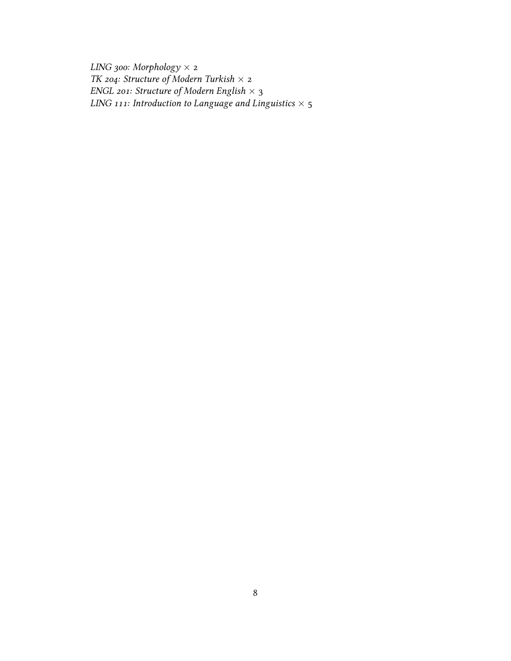*LING 300: Morphology ×* 2 *TK 204: Structure of Modern Turkish ×* 2 *ENGL 201: Structure of Modern English ×* 3 *LING 111: Introduction to Language and Linguistics ×* 5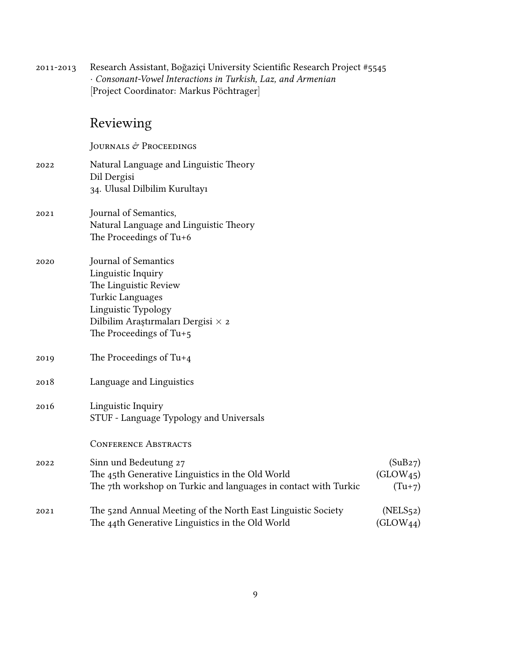2011-2013 Research Assistant, Boğaziçi University Scientific Research Project #5545 *· Consonant-Vowel Interactions in Turkish, Laz, and Armenian* [Project Coordinator: Markus Pöchtrager]

### Reviewing

JOURNALS & PROCEEDINGS

- 2022 Natural Language and Linguistic Theory Dil Dergisi 34. Ulusal Dilbilim Kurultayı 2021 Journal of Semantics, Natural Language and Linguistic Theory The Proceedings of Tu+6 2020 Journal of Semantics Linguistic Inquiry The Linguistic Review Turkic Languages Linguistic Typology Dilbilim Araştırmaları Dergisi *×* 2
	- The Proceedings of Tu+5
- 2019 The Proceedings of Tu+4
- 2018 Language and Linguistics
- 2016 Linguistic Inquiry STUF - Language Typology and Universals

CONFERENCE ABSTRACTS

| 2022 | Sinn und Bedeutung 27                                           | (SuB27)               |
|------|-----------------------------------------------------------------|-----------------------|
|      | The 45th Generative Linguistics in the Old World                | (GLOW <sub>45</sub> ) |
|      | The 7th workshop on Turkic and languages in contact with Turkic | $(Tu+7)$              |
| 2021 | The 52nd Annual Meeting of the North East Linguistic Society    | (NELS <sub>52</sub> ) |
|      | The 44th Generative Linguistics in the Old World                | $(GLOW_{44})$         |